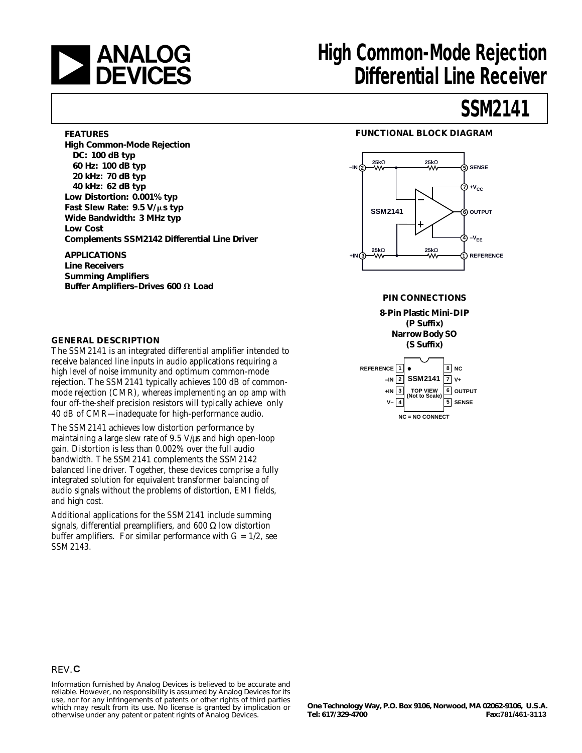

# **ANALOG** High Common-Mode Rejection<br>Differential Line Receiver **Differential Line Receiver**

# **SSM2141**

### **FEATURES**

**High Common-Mode Rejection DC: 100 dB typ 60 Hz: 100 dB typ 20 kHz: 70 dB typ 40 kHz: 62 dB typ Low Distortion: 0.001% typ Fast Slew Rate: 9.5 V/µs typ Wide Bandwidth: 3 MHz typ Low Cost Complements SSM2142 Differential Line Driver**

**APPLICATIONS Line Receivers Summing Amplifiers Buffer Amplifiers-Drives 600 Ω Load** 

### **GENERAL DESCRIPTION**

The SSM2141 is an integrated differential amplifier intended to receive balanced line inputs in audio applications requiring a high level of noise immunity and optimum common-mode rejection. The SSM2141 typically achieves 100 dB of commonmode rejection (CMR), whereas implementing an op amp with four off-the-shelf precision resistors will typically achieve only 40 dB of CMR—inadequate for high-performance audio.

The SSM2141 achieves low distortion performance by maintaining a large slew rate of 9.5 V/ $\mu$ s and high open-loop gain. Distortion is less than 0.002% over the full audio bandwidth. The SSM2141 complements the SSM2142 balanced line driver. Together, these devices comprise a fully integrated solution for equivalent transformer balancing of audio signals without the problems of distortion, EMI fields, and high cost.

Additional applications for the SSM2141 include summing signals, differential preamplifiers, and 600  $\Omega$  low distortion buffer amplifiers. For similar performance with  $G = 1/2$ , see SSM2143.

#### **FUNCTIONAL BLOCK DIAGRAM**



#### **PIN CONNECTIONS**

#### **8-Pin Plastic Mini-DIP (P Suffix) Narrow Body SO (S Suffix)**



### REV. **C**

Information furnished by Analog Devices is believed to be accurate and reliable. However, no responsibility is assumed by Analog Devices for its use, nor for any infringements of patents or other rights of third parties which may result from its use. No license is granted by implication or otherwise under any patent or patent rights of Analog Devices.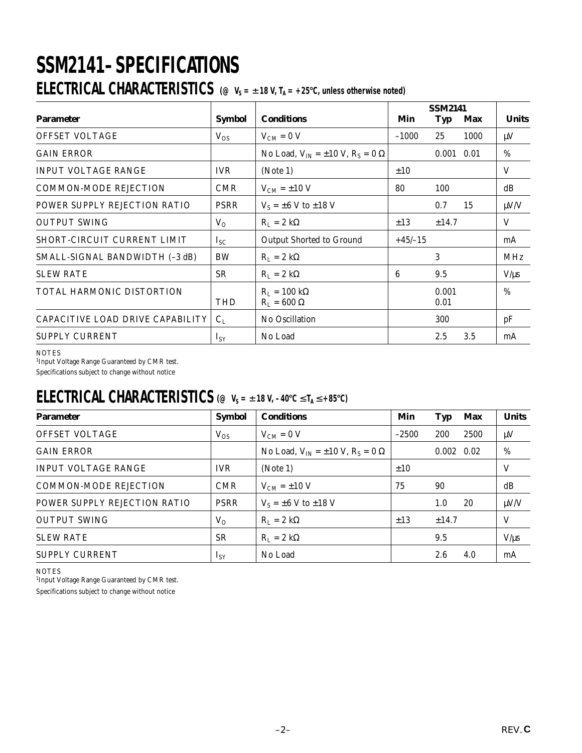# **SSM2141–SPECIFICATIONS ELECTRICAL CHARACTERISTICS** ( $\textcircled{\tiny o}$  V<sub>S</sub> =  $\pm$ 18 V, T<sub>A</sub> = +25°C, unless otherwise noted)

|                                  |               |                                                  | <b>SSM2141</b> |               |      |              |
|----------------------------------|---------------|--------------------------------------------------|----------------|---------------|------|--------------|
| <b>Parameter</b>                 | <b>Symbol</b> | <b>Conditions</b>                                | Min            | Typ           | Max  | <b>Units</b> |
| <b>OFFSET VOLTAGE</b>            | $V_{OS}$      | $V_{CM} = 0 V$                                   | $-1000$        | 25            | 1000 | $\mu$ V      |
| <b>GAIN ERROR</b>                |               | No Load, $V_{IN} = \pm 10$ V, $R_S = 0$ $\Omega$ |                | 0.001         | 0.01 | %            |
| <b>INPUT VOLTAGE RANGE</b>       | <b>IVR</b>    | (Note 1)                                         | $\pm 10$       |               |      | V            |
| <b>COMMON-MODE REJECTION</b>     | <b>CMR</b>    | $V_{CM} = \pm 10$ V                              | 80             | 100           |      | dB           |
| POWER SUPPLY REJECTION RATIO     | <b>PSRR</b>   | $V_s = \pm 6$ V to $\pm 18$ V                    |                | 0.7           | 15   | $\mu V/V$    |
| <b>OUTPUT SWING</b>              | $V_{O}$       | $R_L = 2 k\Omega$                                | $\pm 13$       | ±14.7         |      | V            |
| SHORT-CIRCUIT CURRENT LIMIT      | $I_{SC}$      | Output Shorted to Ground                         | $+45/–15$      |               |      | mA           |
| SMALL-SIGNAL BANDWIDTH (-3 dB)   | BW            | $R_L = 2 k\Omega$                                |                | 3             |      | <b>MHz</b>   |
| <b>SLEW RATE</b>                 | <b>SR</b>     | $R_L = 2 k\Omega$                                | 6              | 9.5           |      | $V/\mu s$    |
| TOTAL HARMONIC DISTORTION        | <b>THD</b>    | $R_L = 100 k\Omega$<br>$R_L = 600 \Omega$        |                | 0.001<br>0.01 |      | $\%$         |
| CAPACITIVE LOAD DRIVE CAPABILITY | $C_{L}$       | No Oscillation                                   |                | 300           |      | pF           |
| <b>SUPPLY CURRENT</b>            | $I_{SY}$      | No Load                                          |                | 2.5           | 3.5  | mA           |

**NOTES** 

<sup>1</sup>Input Voltage Range Guaranteed by CMR test.

Specifications subject to change without notice

### **ELECTRICAL CHARACTERISTICS** (@  $V_S = ±18 V$ , −40°C ≤ T<sub>A</sub> ≤ +85°C)

| <b>Parameter</b>             | <b>Symbol</b> | <b>Conditions</b>                                | Min      | Typ                | Max  | <b>Units</b> |
|------------------------------|---------------|--------------------------------------------------|----------|--------------------|------|--------------|
| <b>OFFSET VOLTAGE</b>        | $V_{OS}$      | $V_{CM} = 0 V$                                   | $-2500$  | 200                | 2500 | $\mu$ V      |
| <b>GAIN ERROR</b>            |               | No Load, $V_{IN} = \pm 10$ V, $R_S = 0$ $\Omega$ |          | $0.002 \quad 0.02$ |      | %            |
| <b>INPUT VOLTAGE RANGE</b>   | <b>IVR</b>    | (Note 1)                                         | ±10      |                    |      | V            |
| <b>COMMON-MODE REJECTION</b> | <b>CMR</b>    | $V_{CM} = \pm 10$ V                              | 75       | 90                 |      | dB           |
| POWER SUPPLY REJECTION RATIO | <b>PSRR</b>   | $V_s = \pm 6$ V to $\pm 18$ V                    |          | 1.0                | 20   | $\mu V/V$    |
| <b>OUTPUT SWING</b>          | $V_{O}$       | $R_L = 2 k\Omega$                                | $\pm 13$ | $\pm$ 14.7         |      | V            |
| <b>SLEW RATE</b>             | <b>SR</b>     | $R_L = 2 k\Omega$                                |          | 9.5                |      | $V/\mu s$    |
| <b>SUPPLY CURRENT</b>        | $I_{SV}$      | No Load                                          |          | 2.6                | 4.0  | mA           |

**NOTES** 

<sup>1</sup>Input Voltage Range Guaranteed by CMR test.

Specifications subject to change without notice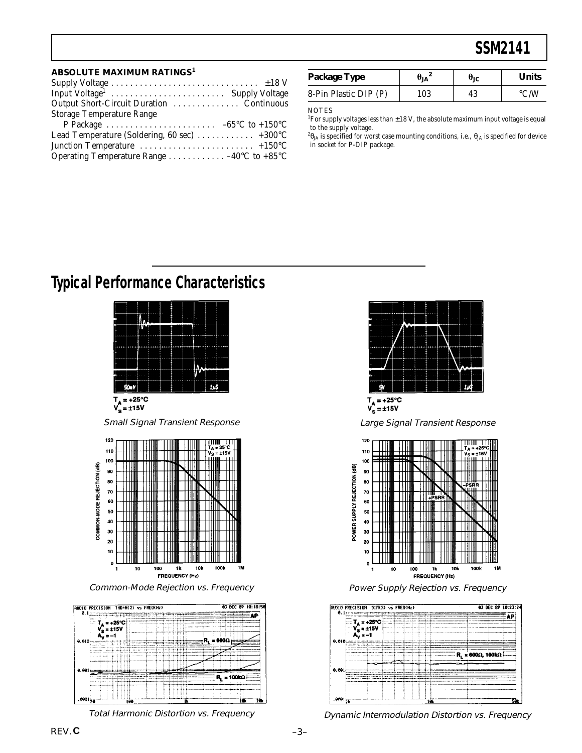### **SSM2141**

#### **ABSOLUTE MAXIMUM RATINGS<sup>1</sup>**

| Input Voltage <sup>1</sup> Supply Voltage                                     |  |
|-------------------------------------------------------------------------------|--|
|                                                                               |  |
| Storage Temperature Range                                                     |  |
| P Package $\ldots \ldots \ldots \ldots \ldots \ldots \ldots -65$ °C to +150°C |  |
| Lead Temperature (Soldering, 60 sec)  +300°C                                  |  |
|                                                                               |  |
| Operating Temperature Range 40 $\rm ^{\circ}C$ to +85 $\rm ^{\circ}C$         |  |

| <b>Package Type</b>   | UJA | UІС | Units |
|-----------------------|-----|-----|-------|
| 8-Pin Plastic DIP (P) | 03  | 43  |       |

**NOTES** 

 $^1$ For supply voltages less than  $\pm 18$  V, the absolute maximum input voltage is equal to the supply voltage.

 $^{2}\theta_{\rm JA}$  is specified for worst case mounting conditions, i.e.,  $\theta_{\rm JA}$  is specified for device in socket for P-DIP package.

## **Typical Performance Characteristics**



 $V_s = \pm 15V$ 

Small Signal Transient Response



Common-Mode Rejection vs. Frequency



Total Harmonic Distortion vs. Frequency



Large Signal Transient Response



Power Supply Rejection vs. Frequency



Dynamic Intermodulation Distortion vs. Frequency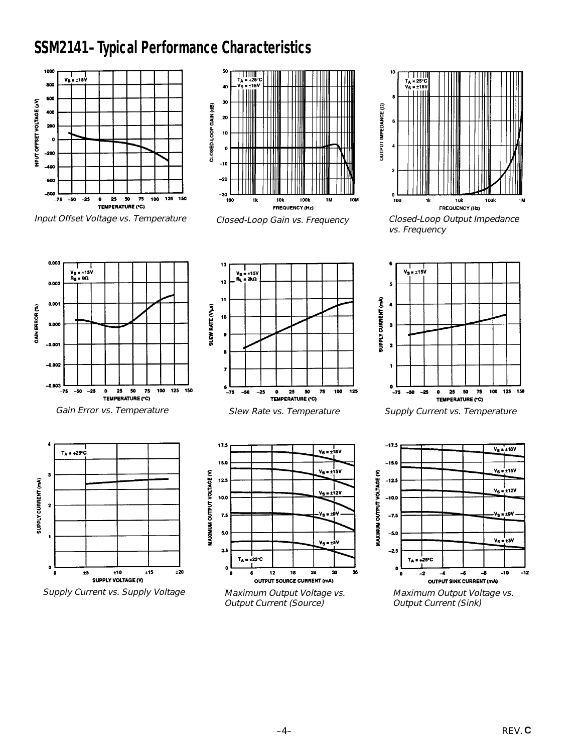## **SSM2141–Typical Performance Characteristics**



Input Offset Voltage vs. Temperature



Closed-Loop Gain vs. Frequency



Closed-Loop Output Impedance vs. Frequency



Gain Error vs. Temperature



Supply Current vs. Supply Voltage



Slew Rate vs. Temperature



Maximum Output Voltage vs. Output Current (Source)



Supply Current vs. Temperature



Maximum Output Voltage vs. Output Current (Sink)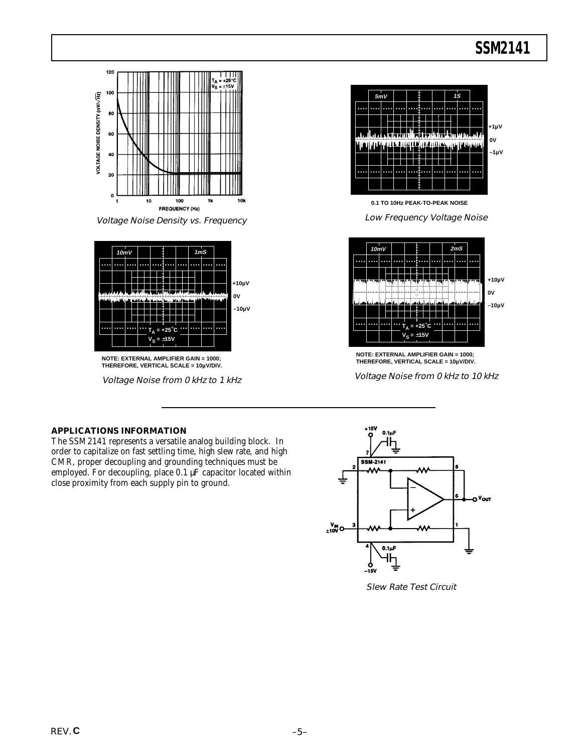

Voltage Noise Density vs. Frequency



**NOTE: EXTERNAL AMPLIFIER GAIN = 1000; THEREFORE, VERTICAL SCALE = 10µV/DIV.**

Voltage Noise from 0 kHz to 1 kHz



**0.1 TO 10Hz PEAK-TO-PEAK NOISE**

Low Frequency Voltage Noise



**NOTE: EXTERNAL AMPLIFIER GAIN = 1000; THEREFORE, VERTICAL SCALE = 10µV/DIV.**

Voltage Noise from 0 kHz to 10 kHz

### **APPLICATIONS INFORMATION**

The SSM2141 represents a versatile analog building block. In order to capitalize on fast settling time, high slew rate, and high CMR, proper decoupling and grounding techniques must be employed. For decoupling, place 0.1 µF capacitor located within close proximity from each supply pin to ground.



Slew Rate Test Circuit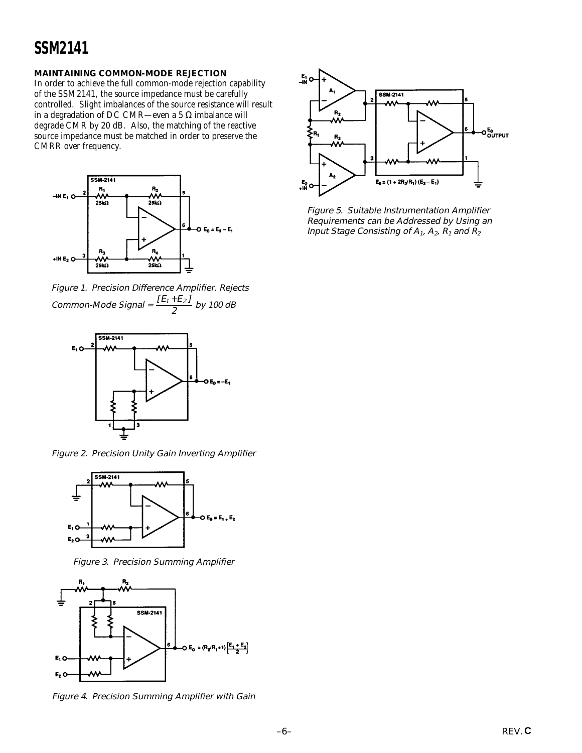### **SSM2141**

### **MAINTAINING COMMON-MODE REJECTION**

In order to achieve the full common-mode rejection capability of the SSM2141, the source impedance must be carefully controlled. Slight imbalances of the source resistance will result in a degradation of DC CMR—even a 5 Ω imbalance will degrade CMR by 20 dB. Also, the matching of the reactive source impedance must be matched in order to preserve the CMRR over frequency.



Figure 1. Precision Difference Amplifier. Rejects Common-Mode Signal =  $\frac{\left[ E_{1}+E_{2}\right] }{2}$  by 100 dB



Figure 2. Precision Unity Gain Inverting Amplifier



Figure 3. Precision Summing Amplifier



Figure 4. Precision Summing Amplifier with Gain



Figure 5. Suitable Instrumentation Amplifier Requirements can be Addressed by Using an Input Stage Consisting of  $A_1$ ,  $A_2$ ,  $R_1$  and  $R_2$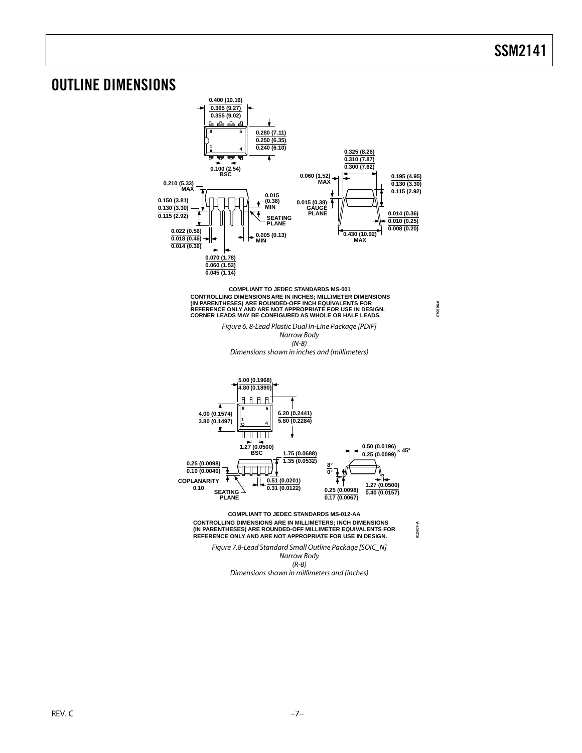**070606-A**

### OUTLINE DIMENSIONS



Dimensions shown in millimeters and (inches)